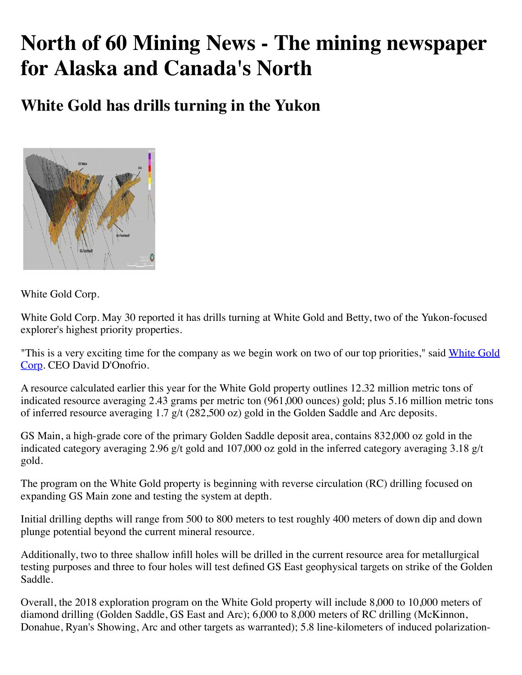## **North of 60 Mining News - The mining newspaper for Alaska and Canada's North**

**White Gold has drills turning in the Yukon**



White Gold Corp.

White Gold Corp. May 30 reported it has drills turning at White Gold and Betty, two of the Yukon-focused explorer's highest priority properties.

["This is a very exciting time for the company as we begin work on two of our top priorities," said White Gold](https://www.miningnewsnorth.com/search/White_Gold_Corp) Corp. CEO David D'Onofrio.

A resource calculated earlier this year for the White Gold property outlines 12.32 million metric tons of indicated resource averaging 2.43 grams per metric ton (961,000 ounces) gold; plus 5.16 million metric tons of inferred resource averaging 1.7 g/t (282,500 oz) gold in the Golden Saddle and Arc deposits.

GS Main, a high-grade core of the primary Golden Saddle deposit area, contains 832,000 oz gold in the indicated category averaging 2.96 g/t gold and 107,000 oz gold in the inferred category averaging 3.18 g/t gold.

The program on the White Gold property is beginning with reverse circulation (RC) drilling focused on expanding GS Main zone and testing the system at depth.

Initial drilling depths will range from 500 to 800 meters to test roughly 400 meters of down dip and down plunge potential beyond the current mineral resource.

Additionally, two to three shallow infill holes will be drilled in the current resource area for metallurgical testing purposes and three to four holes will test defined GS East geophysical targets on strike of the Golden Saddle.

Overall, the 2018 exploration program on the White Gold property will include 8,000 to 10,000 meters of diamond drilling (Golden Saddle, GS East and Arc); 6,000 to 8,000 meters of RC drilling (McKinnon, Donahue, Ryan's Showing, Arc and other targets as warranted); 5.8 line-kilometers of induced polarization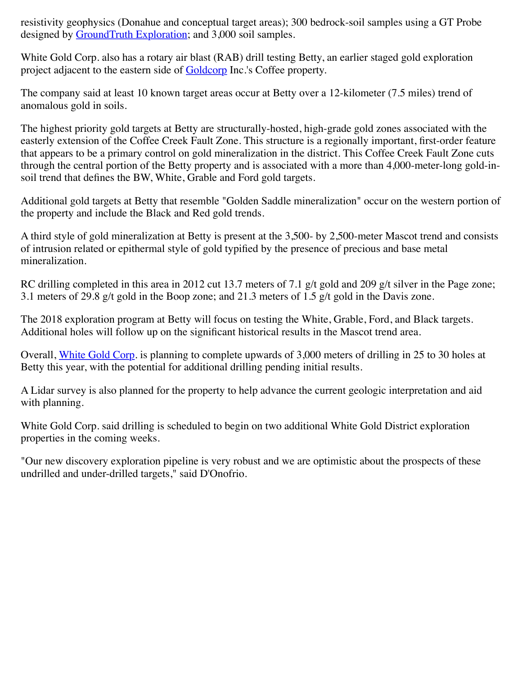resistivity geophysics (Donahue and conceptual target areas); 300 bedrock-soil samples using a GT Probe designed by [GroundTruth Exploration;](https://www.miningnewsnorth.com/search/GroundTruth_Exploration) and 3,000 soil samples.

White Gold Corp. also has a rotary air blast (RAB) drill testing Betty, an earlier staged gold exploration project adjacent to the eastern side of **Goldcorp** Inc.'s Coffee property.

The company said at least 10 known target areas occur at Betty over a 12-kilometer (7.5 miles) trend of anomalous gold in soils.

The highest priority gold targets at Betty are structurally-hosted, high-grade gold zones associated with the easterly extension of the Coffee Creek Fault Zone. This structure is a regionally important, first-order feature that appears to be a primary control on gold mineralization in the district. This Coffee Creek Fault Zone cuts through the central portion of the Betty property and is associated with a more than 4,000-meter-long gold-insoil trend that defines the BW, White, Grable and Ford gold targets.

Additional gold targets at Betty that resemble "Golden Saddle mineralization" occur on the western portion of the property and include the Black and Red gold trends.

A third style of gold mineralization at Betty is present at the 3,500- by 2,500-meter Mascot trend and consists of intrusion related or epithermal style of gold typified by the presence of precious and base metal mineralization.

RC drilling completed in this area in 2012 cut 13.7 meters of 7.1 g/t gold and 209 g/t silver in the Page zone; 3.1 meters of 29.8 g/t gold in the Boop zone; and 21.3 meters of 1.5 g/t gold in the Davis zone.

The 2018 exploration program at Betty will focus on testing the White, Grable, Ford, and Black targets. Additional holes will follow up on the significant historical results in the Mascot trend area.

Overall, [White Gold Corp](https://www.miningnewsnorth.com/search/White_Gold_Corp). is planning to complete upwards of 3,000 meters of drilling in 25 to 30 holes at Betty this year, with the potential for additional drilling pending initial results.

A Lidar survey is also planned for the property to help advance the current geologic interpretation and aid with planning.

White Gold Corp. said drilling is scheduled to begin on two additional White Gold District exploration properties in the coming weeks.

"Our new discovery exploration pipeline is very robust and we are optimistic about the prospects of these undrilled and under-drilled targets," said D'Onofrio.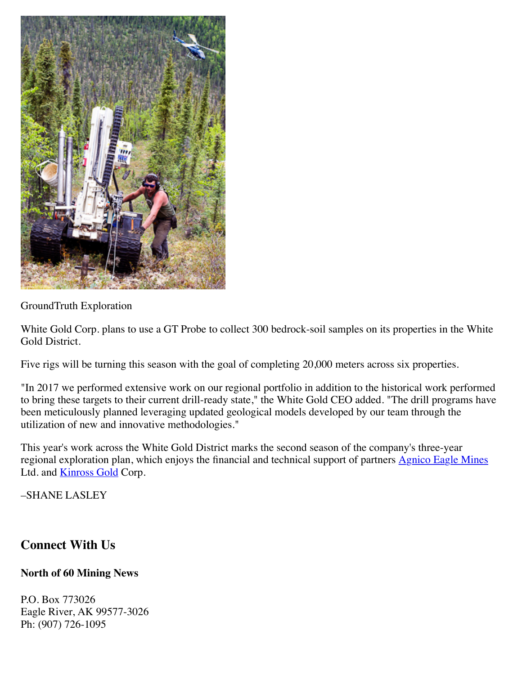

GroundTruth Exploration

White Gold Corp. plans to use a GT Probe to collect 300 bedrock-soil samples on its properties in the White Gold District.

Five rigs will be turning this season with the goal of completing 20,000 meters across six properties.

"In 2017 we performed extensive work on our regional portfolio in addition to the historical work performed to bring these targets to their current drill-ready state," the White Gold CEO added. "The drill programs have been meticulously planned leveraging updated geological models developed by our team through the utilization of new and innovative methodologies."

This year's work across the White Gold District marks the second season of the company's three-year regional exploration plan, which enjoys the financial and technical support of partners [Agnico Eagle Mines](https://www.miningnewsnorth.com/search/Agnico_Eagle_Mines) Ltd. and **Kinross Gold** Corp.

–SHANE LASLEY

## **Connect With Us**

## **North of 60 Mining News**

P.O. Box 773026 Eagle River, AK 99577-3026 Ph: (907) 726-1095